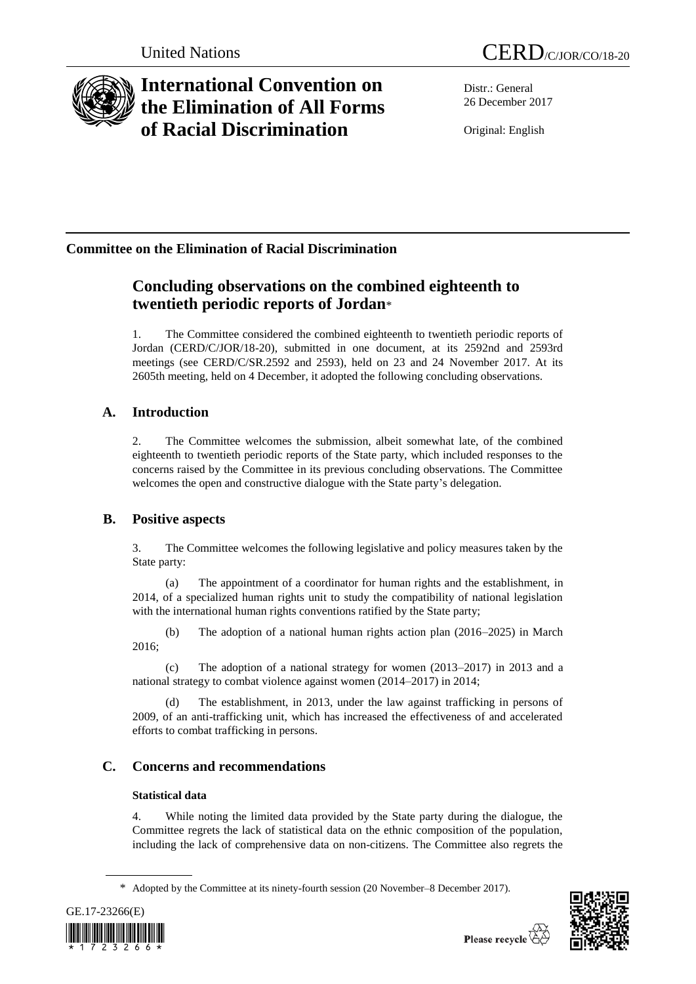

# **International Convention on the Elimination of All Forms of Racial Discrimination**

Distr.: General 26 December 2017

Original: English

## **Committee on the Elimination of Racial Discrimination**

## **Concluding observations on the combined eighteenth to twentieth periodic reports of Jordan**\*

1. The Committee considered the combined eighteenth to twentieth periodic reports of Jordan (CERD/C/JOR/18-20), submitted in one document, at its 2592nd and 2593rd meetings (see CERD/C/SR.2592 and 2593), held on 23 and 24 November 2017. At its 2605th meeting, held on 4 December, it adopted the following concluding observations.

## **A. Introduction**

2. The Committee welcomes the submission, albeit somewhat late, of the combined eighteenth to twentieth periodic reports of the State party, which included responses to the concerns raised by the Committee in its previous concluding observations. The Committee welcomes the open and constructive dialogue with the State party's delegation.

### **B. Positive aspects**

3. The Committee welcomes the following legislative and policy measures taken by the State party:

(a) The appointment of a coordinator for human rights and the establishment, in 2014, of a specialized human rights unit to study the compatibility of national legislation with the international human rights conventions ratified by the State party;

(b) The adoption of a national human rights action plan (2016–2025) in March 2016;

(c) The adoption of a national strategy for women (2013–2017) in 2013 and a national strategy to combat violence against women (2014–2017) in 2014;

(d) The establishment, in 2013, under the law against trafficking in persons of 2009, of an anti-trafficking unit, which has increased the effectiveness of and accelerated efforts to combat trafficking in persons.

## **C. Concerns and recommendations**

### **Statistical data**

4. While noting the limited data provided by the State party during the dialogue, the Committee regrets the lack of statistical data on the ethnic composition of the population, including the lack of comprehensive data on non-citizens. The Committee also regrets the

<sup>\*</sup> Adopted by the Committee at its ninety-fourth session (20 November–8 December 2017).



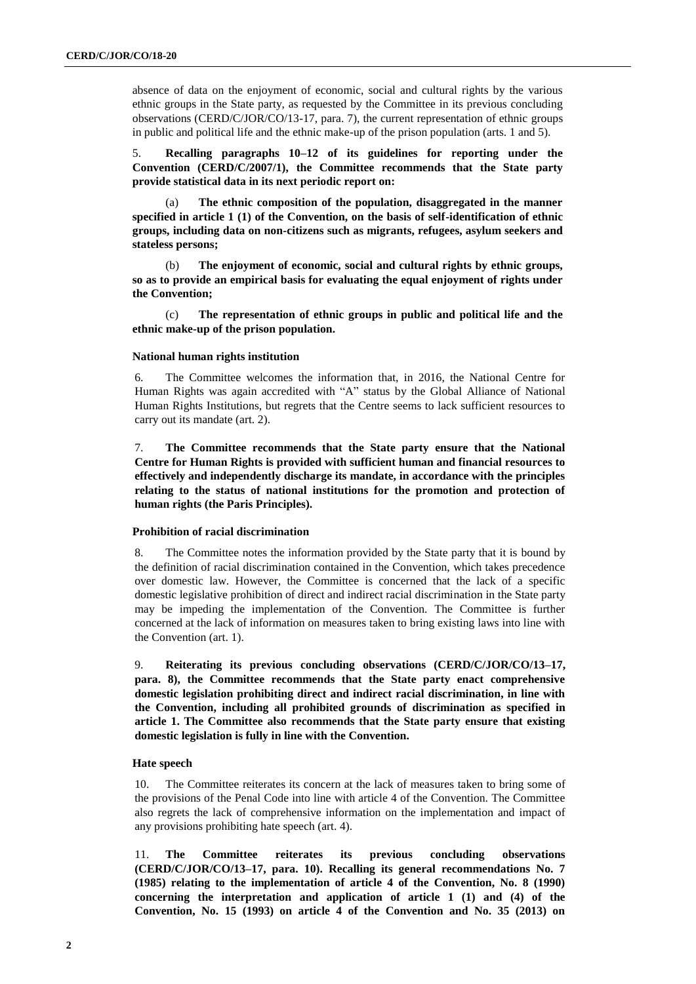absence of data on the enjoyment of economic, social and cultural rights by the various ethnic groups in the State party, as requested by the Committee in its previous concluding observations (CERD/C/JOR/CO/13-17, para. 7), the current representation of ethnic groups in public and political life and the ethnic make-up of the prison population (arts. 1 and 5).

5. **Recalling paragraphs 10–12 of its guidelines for reporting under the Convention (CERD/C/2007/1), the Committee recommends that the State party provide statistical data in its next periodic report on:**

The ethnic composition of the population, disaggregated in the manner **specified in article 1 (1) of the Convention, on the basis of self-identification of ethnic groups, including data on non-citizens such as migrants, refugees, asylum seekers and stateless persons;**

(b) **The enjoyment of economic, social and cultural rights by ethnic groups, so as to provide an empirical basis for evaluating the equal enjoyment of rights under the Convention;**

(c) **The representation of ethnic groups in public and political life and the ethnic make-up of the prison population.** 

#### **National human rights institution**

6. The Committee welcomes the information that, in 2016, the National Centre for Human Rights was again accredited with "A" status by the Global Alliance of National Human Rights Institutions, but regrets that the Centre seems to lack sufficient resources to carry out its mandate (art. 2).

7. **The Committee recommends that the State party ensure that the National Centre for Human Rights is provided with sufficient human and financial resources to effectively and independently discharge its mandate, in accordance with the principles relating to the status of national institutions for the promotion and protection of human rights (the Paris Principles).** 

#### **Prohibition of racial discrimination**

8. The Committee notes the information provided by the State party that it is bound by the definition of racial discrimination contained in the Convention, which takes precedence over domestic law. However, the Committee is concerned that the lack of a specific domestic legislative prohibition of direct and indirect racial discrimination in the State party may be impeding the implementation of the Convention. The Committee is further concerned at the lack of information on measures taken to bring existing laws into line with the Convention (art. 1).

9. **Reiterating its previous concluding observations (CERD/C/JOR/CO/13–17, para. 8), the Committee recommends that the State party enact comprehensive domestic legislation prohibiting direct and indirect racial discrimination, in line with the Convention, including all prohibited grounds of discrimination as specified in article 1. The Committee also recommends that the State party ensure that existing domestic legislation is fully in line with the Convention.** 

#### **Hate speech**

10. The Committee reiterates its concern at the lack of measures taken to bring some of the provisions of the Penal Code into line with article 4 of the Convention. The Committee also regrets the lack of comprehensive information on the implementation and impact of any provisions prohibiting hate speech (art. 4).

11. **The Committee reiterates its previous concluding observations (CERD/C/JOR/CO/13–17, para. 10). Recalling its general recommendations No. 7 (1985) relating to the implementation of article 4 of the Convention, No. 8 (1990) concerning the interpretation and application of article 1 (1) and (4) of the Convention, No. 15 (1993) on article 4 of the Convention and No. 35 (2013) on**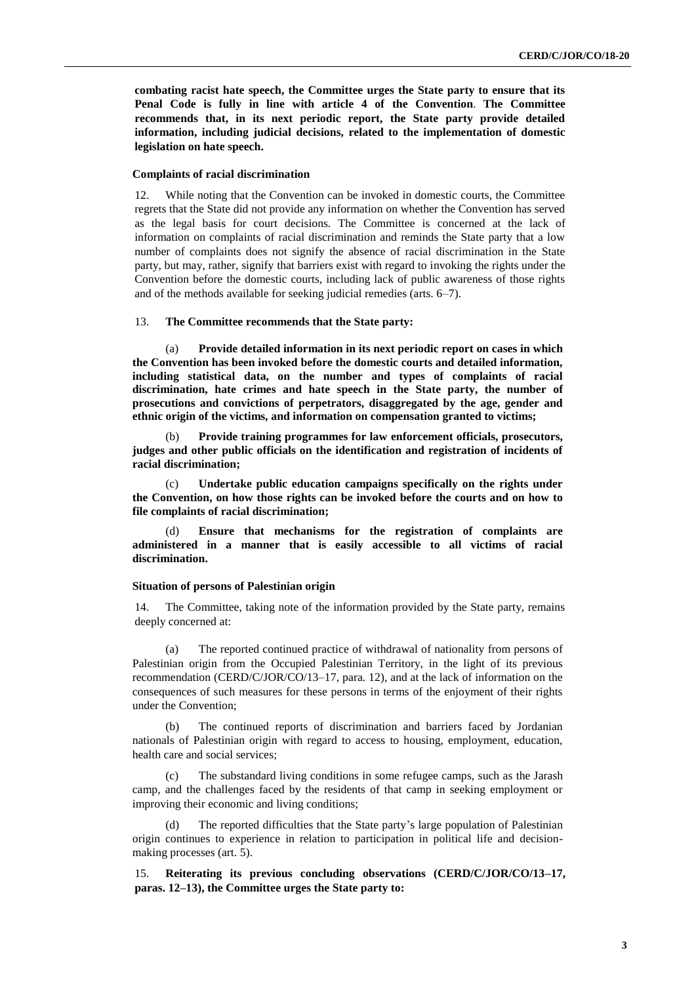**combating racist hate speech, the Committee urges the State party to ensure that its Penal Code is fully in line with article 4 of the Convention**. **The Committee recommends that, in its next periodic report, the State party provide detailed information, including judicial decisions, related to the implementation of domestic legislation on hate speech.**

#### **Complaints of racial discrimination**

12. While noting that the Convention can be invoked in domestic courts, the Committee regrets that the State did not provide any information on whether the Convention has served as the legal basis for court decisions. The Committee is concerned at the lack of information on complaints of racial discrimination and reminds the State party that a low number of complaints does not signify the absence of racial discrimination in the State party, but may, rather, signify that barriers exist with regard to invoking the rights under the Convention before the domestic courts, including lack of public awareness of those rights and of the methods available for seeking judicial remedies (arts. 6–7).

#### 13. **The Committee recommends that the State party:**

(a) **Provide detailed information in its next periodic report on cases in which the Convention has been invoked before the domestic courts and detailed information, including statistical data, on the number and types of complaints of racial discrimination, hate crimes and hate speech in the State party, the number of prosecutions and convictions of perpetrators, disaggregated by the age, gender and ethnic origin of the victims, and information on compensation granted to victims;** 

(b) **Provide training programmes for law enforcement officials, prosecutors, judges and other public officials on the identification and registration of incidents of racial discrimination;**

(c) **Undertake public education campaigns specifically on the rights under the Convention, on how those rights can be invoked before the courts and on how to file complaints of racial discrimination;** 

(d) **Ensure that mechanisms for the registration of complaints are administered in a manner that is easily accessible to all victims of racial discrimination.** 

#### **Situation of persons of Palestinian origin**

14. The Committee, taking note of the information provided by the State party, remains deeply concerned at:

(a) The reported continued practice of withdrawal of nationality from persons of Palestinian origin from the Occupied Palestinian Territory, in the light of its previous recommendation (CERD/C/JOR/CO/13–17, para. 12), and at the lack of information on the consequences of such measures for these persons in terms of the enjoyment of their rights under the Convention;

(b) The continued reports of discrimination and barriers faced by Jordanian nationals of Palestinian origin with regard to access to housing, employment, education, health care and social services;

(c) The substandard living conditions in some refugee camps, such as the Jarash camp, and the challenges faced by the residents of that camp in seeking employment or improving their economic and living conditions;

(d) The reported difficulties that the State party's large population of Palestinian origin continues to experience in relation to participation in political life and decisionmaking processes (art. 5).

15. **Reiterating its previous concluding observations (CERD/C/JOR/CO/13–17, paras. 12–13), the Committee urges the State party to:**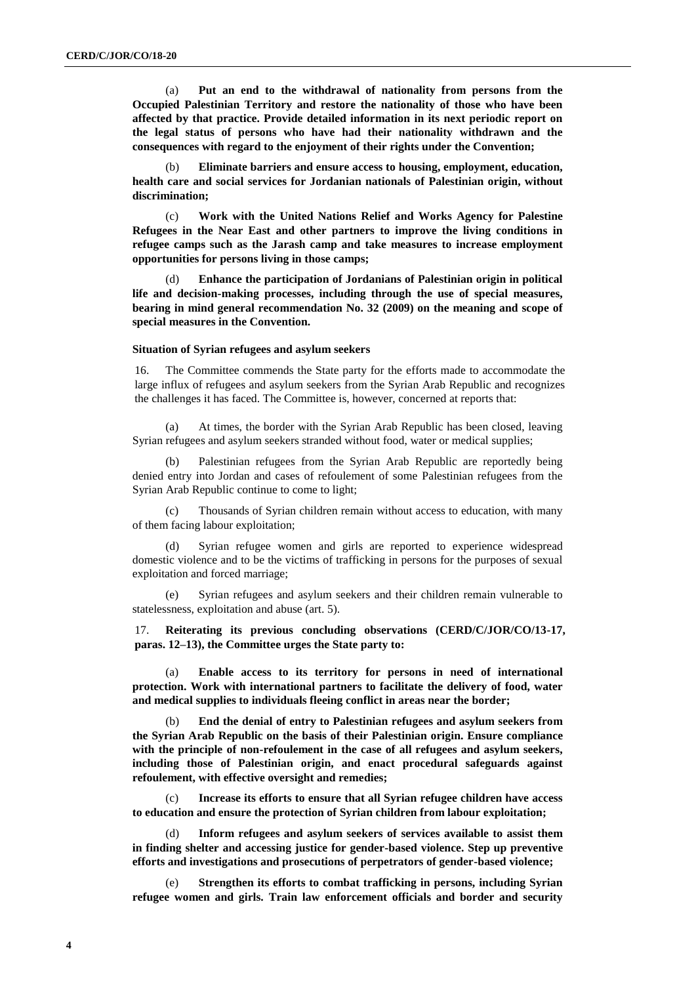(a) **Put an end to the withdrawal of nationality from persons from the Occupied Palestinian Territory and restore the nationality of those who have been affected by that practice. Provide detailed information in its next periodic report on the legal status of persons who have had their nationality withdrawn and the consequences with regard to the enjoyment of their rights under the Convention;** 

(b) **Eliminate barriers and ensure access to housing, employment, education, health care and social services for Jordanian nationals of Palestinian origin, without discrimination;**

(c) **Work with the United Nations Relief and Works Agency for Palestine Refugees in the Near East and other partners to improve the living conditions in refugee camps such as the Jarash camp and take measures to increase employment opportunities for persons living in those camps;**

(d) **Enhance the participation of Jordanians of Palestinian origin in political life and decision-making processes, including through the use of special measures, bearing in mind general recommendation No. 32 (2009) on the meaning and scope of special measures in the Convention.** 

#### **Situation of Syrian refugees and asylum seekers**

16. The Committee commends the State party for the efforts made to accommodate the large influx of refugees and asylum seekers from the Syrian Arab Republic and recognizes the challenges it has faced. The Committee is, however, concerned at reports that:

(a) At times, the border with the Syrian Arab Republic has been closed, leaving Syrian refugees and asylum seekers stranded without food, water or medical supplies;

(b) Palestinian refugees from the Syrian Arab Republic are reportedly being denied entry into Jordan and cases of refoulement of some Palestinian refugees from the Syrian Arab Republic continue to come to light;

(c) Thousands of Syrian children remain without access to education, with many of them facing labour exploitation;

(d) Syrian refugee women and girls are reported to experience widespread domestic violence and to be the victims of trafficking in persons for the purposes of sexual exploitation and forced marriage;

(e) Syrian refugees and asylum seekers and their children remain vulnerable to statelessness, exploitation and abuse (art. 5).

17. **Reiterating its previous concluding observations (CERD/C/JOR/CO/13-17, paras. 12–13), the Committee urges the State party to:**

(a) **Enable access to its territory for persons in need of international protection. Work with international partners to facilitate the delivery of food, water and medical supplies to individuals fleeing conflict in areas near the border;** 

(b) **End the denial of entry to Palestinian refugees and asylum seekers from the Syrian Arab Republic on the basis of their Palestinian origin. Ensure compliance with the principle of non-refoulement in the case of all refugees and asylum seekers, including those of Palestinian origin, and enact procedural safeguards against refoulement, with effective oversight and remedies;**

(c) **Increase its efforts to ensure that all Syrian refugee children have access to education and ensure the protection of Syrian children from labour exploitation;** 

(d) **Inform refugees and asylum seekers of services available to assist them in finding shelter and accessing justice for gender-based violence. Step up preventive efforts and investigations and prosecutions of perpetrators of gender-based violence;** 

(e) **Strengthen its efforts to combat trafficking in persons, including Syrian refugee women and girls. Train law enforcement officials and border and security**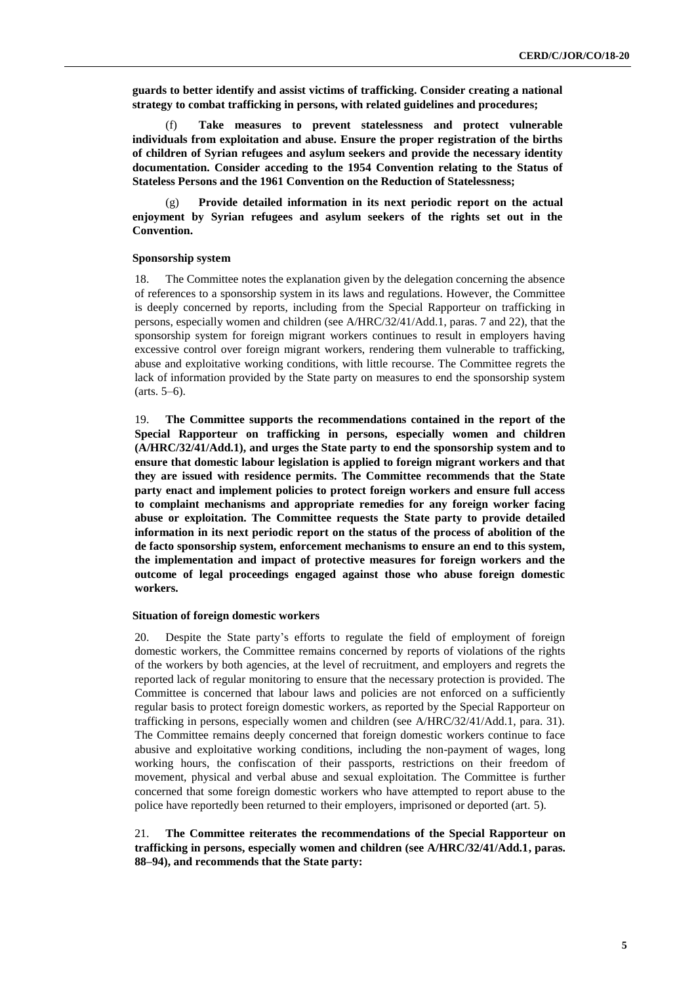**guards to better identify and assist victims of trafficking. Consider creating a national strategy to combat trafficking in persons, with related guidelines and procedures;** 

Take measures to prevent statelessness and protect vulnerable **individuals from exploitation and abuse. Ensure the proper registration of the births of children of Syrian refugees and asylum seekers and provide the necessary identity documentation. Consider acceding to the 1954 Convention relating to the Status of Stateless Persons and the 1961 Convention on the Reduction of Statelessness;**

Provide detailed information in its next periodic report on the actual **enjoyment by Syrian refugees and asylum seekers of the rights set out in the Convention.**

#### **Sponsorship system**

18. The Committee notes the explanation given by the delegation concerning the absence of references to a sponsorship system in its laws and regulations. However, the Committee is deeply concerned by reports, including from the Special Rapporteur on trafficking in persons, especially women and children (see A/HRC/32/41/Add.1, paras. 7 and 22), that the sponsorship system for foreign migrant workers continues to result in employers having excessive control over foreign migrant workers, rendering them vulnerable to trafficking, abuse and exploitative working conditions, with little recourse. The Committee regrets the lack of information provided by the State party on measures to end the sponsorship system (arts. 5–6).

19. **The Committee supports the recommendations contained in the report of the Special Rapporteur on trafficking in persons, especially women and children (A/HRC/32/41/Add.1), and urges the State party to end the sponsorship system and to ensure that domestic labour legislation is applied to foreign migrant workers and that they are issued with residence permits. The Committee recommends that the State party enact and implement policies to protect foreign workers and ensure full access to complaint mechanisms and appropriate remedies for any foreign worker facing abuse or exploitation. The Committee requests the State party to provide detailed information in its next periodic report on the status of the process of abolition of the de facto sponsorship system, enforcement mechanisms to ensure an end to this system, the implementation and impact of protective measures for foreign workers and the outcome of legal proceedings engaged against those who abuse foreign domestic workers.**

#### **Situation of foreign domestic workers**

20. Despite the State party's efforts to regulate the field of employment of foreign domestic workers, the Committee remains concerned by reports of violations of the rights of the workers by both agencies, at the level of recruitment, and employers and regrets the reported lack of regular monitoring to ensure that the necessary protection is provided. The Committee is concerned that labour laws and policies are not enforced on a sufficiently regular basis to protect foreign domestic workers, as reported by the Special Rapporteur on trafficking in persons, especially women and children (see A/HRC/32/41/Add.1, para. 31). The Committee remains deeply concerned that foreign domestic workers continue to face abusive and exploitative working conditions, including the non-payment of wages, long working hours, the confiscation of their passports, restrictions on their freedom of movement, physical and verbal abuse and sexual exploitation. The Committee is further concerned that some foreign domestic workers who have attempted to report abuse to the police have reportedly been returned to their employers, imprisoned or deported (art. 5).

21. **The Committee reiterates the recommendations of the Special Rapporteur on trafficking in persons, especially women and children (see A/HRC/32/41/Add.1, paras. 88–94), and recommends that the State party:**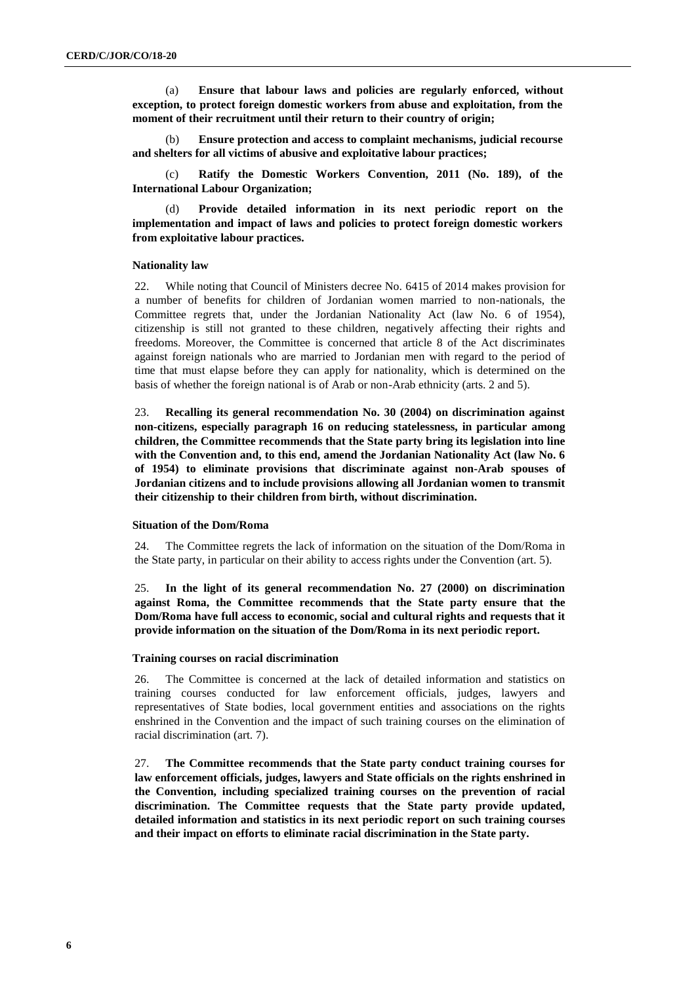(a) **Ensure that labour laws and policies are regularly enforced, without exception, to protect foreign domestic workers from abuse and exploitation, from the moment of their recruitment until their return to their country of origin;**

(b) **Ensure protection and access to complaint mechanisms, judicial recourse and shelters for all victims of abusive and exploitative labour practices;** 

Ratify the Domestic Workers Convention, 2011 (No. 189), of the **International Labour Organization;** 

(d) **Provide detailed information in its next periodic report on the implementation and impact of laws and policies to protect foreign domestic workers from exploitative labour practices.** 

#### **Nationality law**

22. While noting that Council of Ministers decree No. 6415 of 2014 makes provision for a number of benefits for children of Jordanian women married to non-nationals, the Committee regrets that, under the Jordanian Nationality Act (law No. 6 of 1954), citizenship is still not granted to these children, negatively affecting their rights and freedoms. Moreover, the Committee is concerned that article 8 of the Act discriminates against foreign nationals who are married to Jordanian men with regard to the period of time that must elapse before they can apply for nationality, which is determined on the basis of whether the foreign national is of Arab or non-Arab ethnicity (arts. 2 and 5).

23. **Recalling its general recommendation No. 30 (2004) on discrimination against non-citizens, especially paragraph 16 on reducing statelessness, in particular among children, the Committee recommends that the State party bring its legislation into line with the Convention and, to this end, amend the Jordanian Nationality Act (law No. 6 of 1954) to eliminate provisions that discriminate against non-Arab spouses of Jordanian citizens and to include provisions allowing all Jordanian women to transmit their citizenship to their children from birth, without discrimination.**

#### **Situation of the Dom/Roma**

24. The Committee regrets the lack of information on the situation of the Dom/Roma in the State party, in particular on their ability to access rights under the Convention (art. 5).

25. **In the light of its general recommendation No. 27 (2000) on discrimination against Roma, the Committee recommends that the State party ensure that the Dom/Roma have full access to economic, social and cultural rights and requests that it provide information on the situation of the Dom/Roma in its next periodic report.**

#### **Training courses on racial discrimination**

26. The Committee is concerned at the lack of detailed information and statistics on training courses conducted for law enforcement officials, judges, lawyers and representatives of State bodies, local government entities and associations on the rights enshrined in the Convention and the impact of such training courses on the elimination of racial discrimination (art. 7).

27. **The Committee recommends that the State party conduct training courses for law enforcement officials, judges, lawyers and State officials on the rights enshrined in the Convention, including specialized training courses on the prevention of racial discrimination. The Committee requests that the State party provide updated, detailed information and statistics in its next periodic report on such training courses and their impact on efforts to eliminate racial discrimination in the State party.**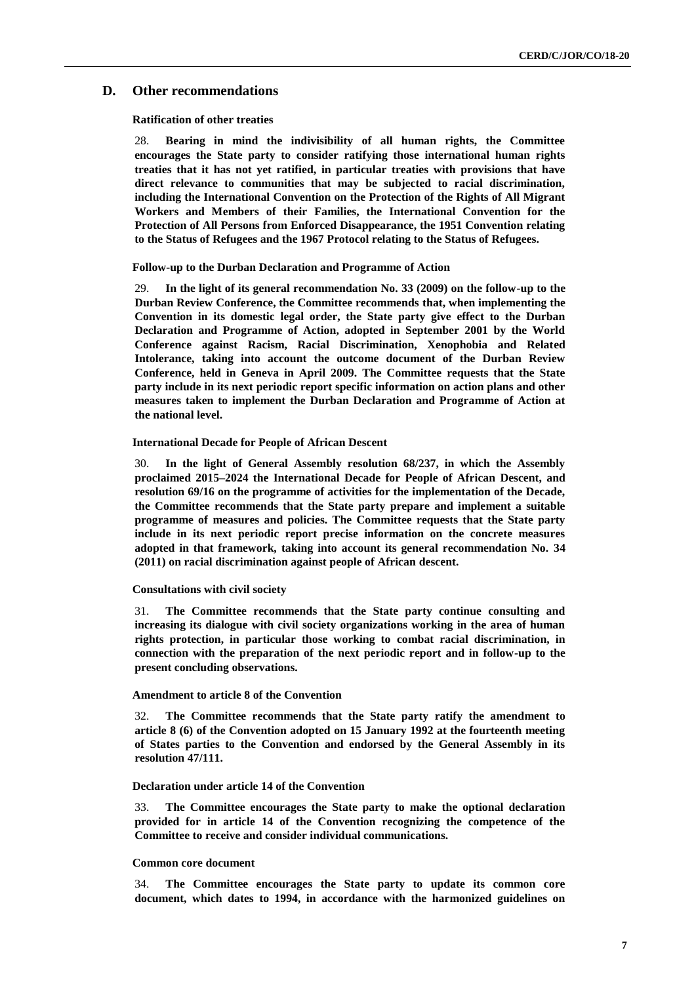#### **D. Other recommendations**

#### **Ratification of other treaties**

28. **Bearing in mind the indivisibility of all human rights, the Committee encourages the State party to consider ratifying those international human rights treaties that it has not yet ratified, in particular treaties with provisions that have direct relevance to communities that may be subjected to racial discrimination, including the International Convention on the Protection of the Rights of All Migrant Workers and Members of their Families, the International Convention for the Protection of All Persons from Enforced Disappearance, the 1951 Convention relating to the Status of Refugees and the 1967 Protocol relating to the Status of Refugees.**

#### **Follow-up to the Durban Declaration and Programme of Action**

29. **In the light of its general recommendation No. 33 (2009) on the follow-up to the Durban Review Conference, the Committee recommends that, when implementing the Convention in its domestic legal order, the State party give effect to the Durban Declaration and Programme of Action, adopted in September 2001 by the World Conference against Racism, Racial Discrimination, Xenophobia and Related Intolerance, taking into account the outcome document of the Durban Review Conference, held in Geneva in April 2009. The Committee requests that the State party include in its next periodic report specific information on action plans and other measures taken to implement the Durban Declaration and Programme of Action at the national level.** 

#### **International Decade for People of African Descent**

30. **In the light of General Assembly resolution 68/237, in which the Assembly proclaimed 2015–2024 the International Decade for People of African Descent, and resolution 69/16 on the programme of activities for the implementation of the Decade, the Committee recommends that the State party prepare and implement a suitable programme of measures and policies. The Committee requests that the State party include in its next periodic report precise information on the concrete measures adopted in that framework, taking into account its general recommendation No. 34 (2011) on racial discrimination against people of African descent.** 

#### **Consultations with civil society**

31. **The Committee recommends that the State party continue consulting and increasing its dialogue with civil society organizations working in the area of human rights protection, in particular those working to combat racial discrimination, in connection with the preparation of the next periodic report and in follow-up to the present concluding observations.**

#### **Amendment to article 8 of the Convention**

32. **The Committee recommends that the State party ratify the amendment to article 8 (6) of the Convention adopted on 15 January 1992 at the fourteenth meeting of States parties to the Convention and endorsed by the General Assembly in its resolution 47/111.** 

#### **Declaration under article 14 of the Convention**

33. **The Committee encourages the State party to make the optional declaration provided for in article 14 of the Convention recognizing the competence of the Committee to receive and consider individual communications.**

#### **Common core document**

34. **The Committee encourages the State party to update its common core document, which dates to 1994, in accordance with the harmonized guidelines on**